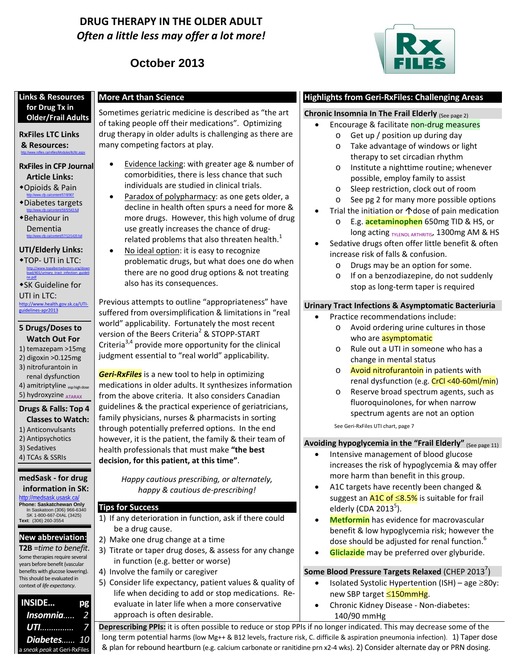# **DRUG THERAPY IN THE OLDER ADULT** *Often a little less may offer a lot more!*

# **October 2013**



**Links & Resources for Drug Tx in Older/Frail Adults**

**RxFiles LTC Links & Resources:**  http://www.rxfiles.ca/rxfiles/Modules/ltc/ltc.aspx

- **RxFilesin CFP Journal Article Links:**
- Opioids & Pain http://www.cfp.ca/content/57/8/907
- Diabetes targets http://www.cfp.ca/content/58/5/543.full
- Behaviour in Dementia http://www.cfp.ca/content/57/12/1420.full
- **UTI/Elderly Links:**  ◆TOP- UTI in LTC:

load/401/urinary\_tract\_infection\_guideli ne.pdf SK Guideline for UTI in LTC: http://www.health.gov.sk.ca/UTI‐ guidelines‐apr2013

http://www.topalbertadoctors.org/down

#### **5 Drugs/Doses to Watch Out For**

- 1) temazepam >15mg
- 2) digoxin >0.125mg
- 3) nitrofurantoin in renal dysfunction
- 4) amitriptyline esp high dose 5) hydroxyzine ATARAX

#### **Drugs & Falls: Top 4 Classes to Watch:**

- 1) Anticonvulsants
- 2) Antipsychotics
- 3) Sedatives 4) TCAs & SSRIs

**medSask ‐ for drug information in SK:** http://medsask.usask.ca/

**Phone: Saskatchewan Only**  In Saskatoon (306) 966-6340 SK 1-800-667-DIAL (3425) **Text**: (306) 260-3554

# **New abbreviation:**

**T2B** =*time to benefit*. Some therapies require several years before benefit (vascular benefits with glucose lowering). This should be evaluated in context of*life expectancy*.

# **INSIDE… pg** *Insomnia….. 2 UTI…………… 7 Diabetes…… 10* a *sneak peak* at Geri‐RxFiles

# **More Art than Science**

Sometimes geriatric medicine is described as "the art of taking people off their medications". Optimizing drug therapy in older adults is challenging as there are many competing factors at play.

- Evidence lacking: with greater age & number of comorbidities, there is less chance that such individuals are studied in clinical trials.
- Paradox of polypharmacy: as one gets older, a decline in health often spurs a need for more & more drugs. However, this high volume of drug use greatly increases the chance of drug‐ related problems that also threaten health. $<sup>1</sup>$ </sup>
- No ideal option: it is easy to recognize problematic drugs, but what does one do when there are no good drug options & not treating also has its consequences.

Previous attempts to outline "appropriateness" have suffered from oversimplification & limitations in "real world" applicability. Fortunately the most recent version of the Beers Criteria<sup>2</sup> & STOPP-START Criteria<sup>3,4</sup> provide more opportunity for the clinical judgment essential to "real world" applicability.

*Geri‐RxFiles* is a new tool to help in optimizing medications in older adults. It synthesizes information from the above criteria. It also considers Canadian guidelines & the practical experience of geriatricians, family physicians, nurses & pharmacists in sorting through potentially preferred options. In the end however, it is the patient, the family & their team of health professionals that must make **"the best decision, for this patient, at this time"**.

> *Happy cautious prescribing, or alternately, happy & cautious de‐prescribing!*

### **Tips for Success**

- 1) If any deterioration in function, ask if there could be a drug cause.
- 2) Make one drug change at a time
- 3) Titrate or taper drug doses, & assess for any change in function (e.g. better or worse)
- 4) Involve the family or caregiver
- 5) Consider life expectancy, patient values & quality of life when deciding to add or stop medications. Re‐ evaluate in later life when a more conservative approach is often desirable.

### **Highlights from Geri‐RxFiles: Challenging Areas**

**Chronic Insomnia In The Frail Elderly** (See page 2)

- Encourage & facilitate non-drug measures
	- o Get up / position up during day
	- o Take advantage of windows or light therapy to set circadian rhythm
	- o Institute a nighttime routine; whenever possible, employ family to assist
	- o Sleep restriction, clock out of room
	- o See pg 2 for many more possible options
- Trial the initiation or  $\bigwedge$  dose of pain medication
	- o E.g. **acetaminophen** 650mg TID & HS, or long acting TYLENOL ARTHRITIS, 1300mg AM & HS
- Sedative drugs often offer little benefit & often increase risk of falls & confusion.
	- o Drugs may be an option for some.
	- o If on a benzodiazepine, do not suddenly stop as long‐term taper is required

### **Urinary Tract Infections & Asymptomatic Bacteriuria**

- Practice recommendations include:
	- o Avoid ordering urine cultures in those who are **asymptomatic**
	- o Rule out a UTI in someone who has a change in mental status
	- o Avoid nitrofurantoin in patients with renal dysfunction (e.g. CrCl <40-60ml/min)
	- o Reserve broad spectrum agents, such as fluoroquinolones, for when narrow spectrum agents are not an option

See Geri‐RxFiles UTI chart, page 7

## **Avoiding hypoglycemia in the "Frail Elderly"** (See page 11)

- Intensive management of blood glucose increases the risk of hypoglycemia & may offer more harm than benefit in this group.
- A1C targets have recently been changed & suggest an A1C of ≤8.5% is suitable for frail elderly (CDA 2013<sup>5</sup>).
- **Metformin** has evidence for macrovascular benefit & low hypoglycemia risk; however the dose should be adjusted for renal function.<sup>6</sup>
- **Gliclazide** may be preferred over glyburide.

# **Some Blood Pressure Targets Relaxed** (CHEP 2013<sup>7</sup>)

- Isolated Systolic Hypertention (ISH) age  $\geq$ 80y: new SBP target ≤150mmHg.
- Chronic Kidney Disease ‐ Non‐diabetes: 140/90 mmHg

**Deprescribing PPIs:** it is often possible to reduce or stop PPIs if no longer indicated. This may decrease some of the long term potential harms (low Mg++ & B12 levels, fracture risk, C. difficile & aspiration pneumonia infection). 1) Taper dose & plan for rebound heartburn (e.g. calcium carbonate or ranitidine prn x2‐4 wks). 2) Consider alternate day or PRN dosing.